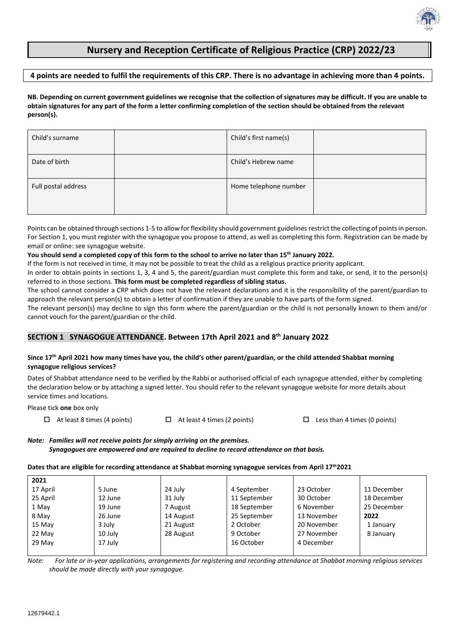# **Nursery and Reception Certificate of Religious Practice (CRP) 2022/23**

### **4 points are needed to fulfil the requirements of this CRP. There is no advantage in achieving more than 4 points.**

**NB. Depending on current government guidelines we recognise that the collection of signatures may be difficult. If you are unable to obtain signatures for any part of the form a letter confirming completion of the section should be obtained from the relevant person(s).**

| Child's surname     | Child's first name(s) |  |
|---------------------|-----------------------|--|
| Date of birth       | Child's Hebrew name   |  |
| Full postal address | Home telephone number |  |

Points can be obtained through sections 1-5 to allow for flexibility should government guidelines restrict the collecting of points in person. For Section 1, you must register with the synagogue you propose to attend, as well as completing this form. Registration can be made by email or online: see synagogue website.

#### **You should send a completed copy of this form to the school to arrive no later than 15th January 2022.**

If the form is not received in time, it may not be possible to treat the child as a religious practice priority applicant.

In order to obtain points in sections 1, 3, 4 and 5, the parent/guardian must complete this form and take, or send, it to the person(s) referred to in those sections. **This form must be completed regardless of sibling status.**

The school cannot consider a CRP which does not have the relevant declarations and it is the responsibility of the parent/guardian to approach the relevant person(s) to obtain a letter of confirmation if they are unable to have parts of the form signed.

The relevant person(s) may decline to sign this form where the parent/guardian or the child is not personally known to them and/or cannot vouch for the parent/guardian or the child.

# **SECTION 1 SYNAGOGUE ATTENDANCE. Between 17th April 2021 and 8 th January 2022**

### **Since 17th April 2021 how many times have you, the child's other parent/guardian, or the child attended Shabbat morning synagogue religious services?**

Dates of Shabbat attendance need to be verified by the Rabbi or authorised official of each synagogue attended, either by completing the declaration below or by attaching a signed letter. You should refer to the relevant synagogue website for more details about service times and locations.

Please tick **one** box only

 $\Box$  At least 8 times (4 points)  $\Box$  At least 4 times (2 points)  $\Box$  Less than 4 times (0 points)

*Note: Families will not receive points for simply arriving on the premises. Synagogues are empowered and are required to decline to record attendance on that basis.*

### **Dates that are eligible for recording attendance at Shabbat morning synagogue services from April 17th2021**

| 2021     |         |           |              |             |             |
|----------|---------|-----------|--------------|-------------|-------------|
| 17 April | 5 June  | 24 July   | 4 September  | 23 October  | 11 December |
| 25 April | 12 June | 31 July   | 11 September | 30 October  | 18 December |
| 1 May    | 19 June | 7 August  | 18 September | 6 November  | 25 December |
| 8 May    | 26 June | 14 August | 25 September | 13 November | 2022        |
| 15 May   | 3 July  | 21 August | 2 October    | 20 November | 1 January   |
| 22 May   | 10 July | 28 August | 9 October    | 27 November | 8 January   |
| 29 May   | 17 July |           | 16 October   | 4 December  |             |
|          |         |           |              |             |             |

*Note: For late or in-year applications, arrangements for registering and recording attendance at Shabbat morning religious services should be made directly with your synagogue.*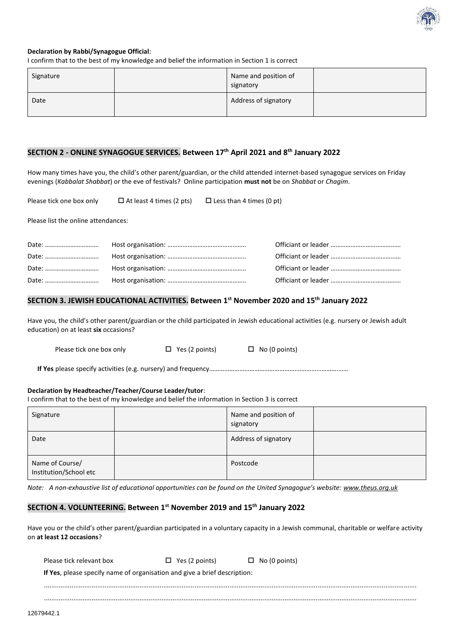

### **Declaration by Rabbi/Synagogue Official**:

I confirm that to the best of my knowledge and belief the information in Section 1 is correct

| Signature | Name and position of<br>signatory |  |
|-----------|-----------------------------------|--|
| Date      | Address of signatory              |  |

# **SECTION 2 - ONLINE SYNAGOGUE SERVICES. Between 17th April 2021 and 8 th January 2022**

How many times have you, the child's other parent/guardian, or the child attended internet-based synagogue services on Friday evenings (*Kabbalat Shabbat*) or the eve of festivals? Online participation **must not** be on *Shabbat* or *Chagim*.

Please tick one box only  $\square$  At least 4 times (2 pts)  $\square$  Less than 4 times (0 pt)

Please list the online attendances:

### **SECTION 3. JEWISH EDUCATIONAL ACTIVITIES. Between 1 st November 2020 and 15th January 2022**

Have you, the child's other parent/guardian or the child participated in Jewish educational activities (e.g. nursery or Jewish adult education) on at least **six** occasions?

Please tick one box only  $\Box$  Yes (2 points)  $\Box$  No (0 points)

**If Yes** please specify activities (e.g. nursery) and frequency…………………………………………….…………………….……

#### **Declaration by Headteacher/Teacher/Course Leader/tutor**:

I confirm that to the best of my knowledge and belief the information in Section 3 is correct

| Signature                                 | Name and position of<br>signatory |  |
|-------------------------------------------|-----------------------------------|--|
| Date                                      | Address of signatory              |  |
| Name of Course/<br>Institution/School etc | Postcode                          |  |

*Note: A non-exhaustive list of educational opportunities can be found on the United Synagogue's website: [www.theus.org.uk](http://www.theus.org.uk/)*

### **SECTION 4. VOLUNTEERING. Between 1 st November 2019 and 15th January 2022**

Have you or the child's other parent/guardian participated in a voluntary capacity in a Jewish communal, charitable or welfare activity on **at least 12 occasions**?

| Please tick relevant box                                                          | $\Box$ Yes (2 points) | $\Box$ No (0 points) |
|-----------------------------------------------------------------------------------|-----------------------|----------------------|
| <b>If Yes</b> , please specify name of organisation and give a brief description: |                       |                      |
|                                                                                   |                       |                      |

...........................................................................................................................................................................................................